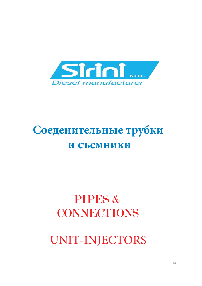

# **Соеденительные трубки и съемники**

# PIPES & CONNECTIONS

UNIT-INJECTORS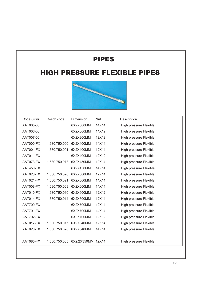### HIGH PRESSURE FLEXIBLE PIPES



| Code Sirini | Bosch code    | Dimension         | Nut   | Description                   |
|-------------|---------------|-------------------|-------|-------------------------------|
| AAT005-00   |               | 6X2X300MM         | 14X14 | High pressure Flexible        |
| AAT006-00   |               | 6X2X300MM         | 14X12 | <b>High pressure Flexible</b> |
| AAT007-00   |               | 6X2X300MM         | 12X12 | <b>High pressure Flexible</b> |
| AAT000-FX   | 1.680.750.000 | 6X2X400MM         | 14X14 | <b>High pressure Flexible</b> |
| AAT001-FX   | 1.680.750.001 | 6X2X400MM         | 12X14 | High pressure Flexible        |
| AAT011-FX   |               | 6X2X400MM         | 12X12 | <b>High pressure Flexible</b> |
| AAT073-FX   | 1.680.750.073 | 6X2X450MM         | 12X14 | <b>High pressure Flexible</b> |
| AAT450-FX   |               | 6X2X450MM         | 14X14 | <b>High pressure Flexible</b> |
| AAT020-FX   | 1.680.750.020 | 6X2X500MM         | 12X14 | <b>High pressure Flexible</b> |
| AAT021-FX   | 1.680.750.021 | 6X2X500MM         | 14X14 | <b>High pressure Flexible</b> |
| AAT008-FX   | 1.680.750.008 | 6X2X600MM         | 14X14 | <b>High pressure Flexible</b> |
| AAT010-FX   | 1.680.750.010 | 6X2X600MM         | 12X12 | <b>High pressure Flexible</b> |
| AAT014-FX   | 1.680.750.014 | 6X2X600MM         | 12X14 | <b>High pressure Flexible</b> |
| AAT700-FX   |               | 6X2X700MM         | 12X14 | <b>High pressure Flexible</b> |
| AAT701-FX   |               | 6X2X700MM         | 14X14 | High pressure Flexible        |
| AAT702-FX   |               | 6X2X700MM         | 12X12 | High pressure Flexible        |
| AAT017-FX   | 1.680.750.017 | 6X2X840MM         | 12X14 | High pressure Flexible        |
| AAT028-FX   | 1.680.750.028 | 6X2X840MM         | 14X14 | <b>High pressure Flexible</b> |
|             |               |                   |       |                               |
| AAT085-FX   | 1.680.750.085 | 6X2.2X350MM 12X14 |       | High pressure Flexible        |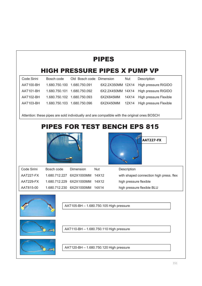# **HIGH PRESSURE PIPES X PUMP VP** Code Sirini Bosch code Old Bosch code Dimension Nut Description AAT100-BH 1.680.750.100 1.680.750.091 6X2.2X350MM 12X14 High pressure RIGIDO AAT101-BH 1.680.750.101 1.680.750.092 6X2.2X450MM 14X14 High pressure RIGIDO AAT102-BH 1.680.750.102 1.680.750.093 6X2X845MM 14X14 High pressure Flexible AAT103-BH 1.680.750.103 1.680.750.096 6X2X450MM 12X14 High pressure Flexible Attention: these pipes are sold individually and are compatible with the original ones BOSCH PIPES FOR TEST BENCH EPS 815 Code Sirini Bosch code Dimension Nut Description AAT227-FX 1.680.712.227 6X2X1000MM 14X12 with shaped connection high press. flex AAT229-FX 1.680.712.229 6X2X1000MM 14X12 high pressure flexible **AAT227-FX PIPES**



AAT105-BH – 1.680.750.105 High pressure

AAT815-00 1.680.712.230 6X2X1000MM 14X14 high pressure flexible BLU



AAT110-BH – 1.680.750.110 High pressure



AAT120-BH – 1.680.750.120 High pressure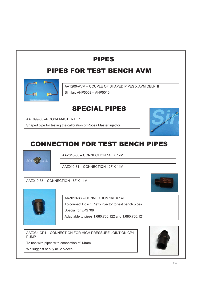### PIPES FOR TEST BENCH AVM



AAT200-AVM – COUPLE OF SHAPED PIPES X AVM DELPHI

Similar: AHP5009 – AHP5010

### **SPECIAL PIPES**

AAT099-00 –ROOSA MASTER PIPE

Shaped pipe for testing the calibration of Roosa Master injector



# **CONNECTION FOR TEST BENCH PIPES**



AAZ010-30 – CONNECTION 14F X 12M

AAZ010-31 – CONNECTION 12F X 14M

### AAZ010-35 – CONNECTION 16F X 14M



AAZ010-36 – CONNECTION 16F X 14F

To connect Bosch Piezo injector to test bench pipes Special for EPS708

Adaptable to pipes 1.680.750.122 and 1.680.750.121

AAZ034-CP4 – CONNECTION FOR HIGH PRESSURE JOINT ON CP4 PUMP

To use with pipes with connection of 14mm

We suggest ot buy nr. 2 pieces.

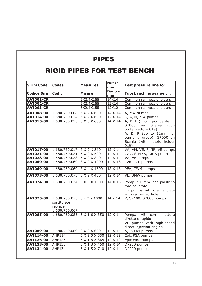### RIGID PIPES FOR TEST BENCH

| <b>Sirini Code</b>   | <b>Codes</b>                                             | <b>Measures</b>          | Nut in<br>mm         | Test pressure line for                                                                                                                                                           |
|----------------------|----------------------------------------------------------|--------------------------|----------------------|----------------------------------------------------------------------------------------------------------------------------------------------------------------------------------|
| Codice Sirini Codici |                                                          | <b>Misure</b>            | <b>Dado in</b><br>mm | Tubi banchi prova per                                                                                                                                                            |
| <b>AAT001-CR</b>     |                                                          | 6X2.4X155                | 14X14                | Common rail nozzleholders                                                                                                                                                        |
| AAT002-CR            |                                                          | 6X2.4X155                | 12X14                | Common rail nozzleholders                                                                                                                                                        |
| <b>AAT003-CR</b>     |                                                          | 6X2.4X155                | 12X12                | Common rail nozzleholders                                                                                                                                                        |
| <b>AAT008-00</b>     | 1.680.750.008                                            | 6 X 2 X 600              | 14 X 14              | A, MW pumps                                                                                                                                                                      |
| <b>AAT014-00</b>     | 1.680.750.014                                            | $6 \times 2 \times 600$  | 12 X 14              | K, A, M, MW pumps                                                                                                                                                                |
| <b>AAT015-00</b>     | 1.680.750.015                                            | 6 X 3 X 600              | $14 \times 14$       | A, B, P (fino a pompante.),<br>S7000<br>su<br>Scania<br>(con<br>portainiettore 019)<br>A, B, P (up to 11mm. of<br>pumping group), S7000 on<br>Scania (with nozzle holder<br>019) |
| <b>AAT017-00</b>     | 1.680.750.017                                            | 6 X 2 X 840              | 12 X 14              | VA, VM, VE, F, NP, VE pumps                                                                                                                                                      |
| <b>AAT021-00</b>     | 1.680.750.021                                            | $6 \times 2 \times 500$  | $14 \times 14$       | CAV, SIMMS, GR.B pumps                                                                                                                                                           |
| AAT028-00            | 1.680.750.028                                            | 6 X 2 X 840              | 14 X 14              | VA, VE pumps                                                                                                                                                                     |
| <b>AAT060-00</b>     | 1.680.750.060                                            | 8 X 2 X 1000             | $14 \times 18$       | 12mm. P pumps                                                                                                                                                                    |
| <b>AAT069-00</b>     | 1.680.750.069                                            | 8 X 4 X 1500             | 18 X 18              | PEV, ZWM pumps                                                                                                                                                                   |
| <b>AAT073-00</b>     | 1.680.750.073                                            | 6 X 2 X 450              | $12 \times 14$       | VE, BMW pumps                                                                                                                                                                    |
| <b>AAT074-00</b>     | 1.680.750.074                                            | 8 X 3 X 1000             | $14 \times 16$       | Pomp P 12mm. con piastrina<br>foro calibrato<br>. P pumps with orefice plate<br>with calibrated hole                                                                             |
| <b>AAT075-00</b>     | 1.680.750.075<br>sostituisce<br>replace<br>1.680.750.067 | $8 \times 3 \times 1000$ | $14 \times 14$       | P, S7100, S7800 pumps                                                                                                                                                            |
| <b>AAT085-00</b>     | 1.680.750.085                                            | 6 X 1.6 X 350            | $12 \times 14$       | Pompa<br>VE<br>iniettore<br>con<br>diretto e rapido<br>VE pumps with high-speed<br>direct injection engine                                                                       |
| <b>AAT089-00</b>     | 1.680.750.089                                            | 8 X 3 X 600              | 14 X 14              | A, P, MW pumps                                                                                                                                                                   |
| AAT114-00            | <b>AHP114</b>                                            | 6 X 2.5 X 330            | 12 X 12              | Epic PSA pumps                                                                                                                                                                   |
| <b>AAT126-00</b>     | <b>AHP126</b>                                            | 6 X 1.6 X 365            | 12 X 12              | Epic Ford pumps                                                                                                                                                                  |
| <b>AAT133-00</b>     | <b>AHP133</b>                                            | 6 X 1.8 X 450            | 12 X 14              | DP200 pumps                                                                                                                                                                      |
| <b>AAT134-00</b>     | <b>AHP134</b>                                            | 6 X 1.5 X 710            | 12 X 14              | DP200 pumps                                                                                                                                                                      |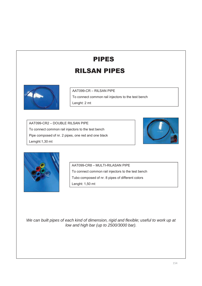### **RILSAN PIPES**



AAT099-CR – RILSAN PIPE

To connect common rail injectors to the test bench

Lenght: 2 mt

AAT099-CR2 – DOUBLE RILSAN PIPE To connect common rail injectors to the test bench Pipe composed of nr. 2 pipes, one red and one black Lemght:1,30 mt





AAT099-CR8 – MULTI-RILASAN PIPE To connect common rail injectors to the test bench Tubo composed of nr. 8 pipes of different colors Lenght: 1,50 mt

*We can built pipes of each kind of dimension, rigid and flexible; useful to work up at low and high bar (up to 2500/3000 bar).*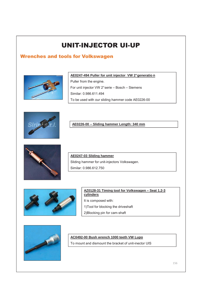### Wrenches and tools for Volkswagen



**AE0247-494 Puller for unit injector VW 2°generatio n**

Puller from the engine.

For unit injector VW 2°serie – Bosch – Siemens

Similar: 0.986.611.494

To be used with our sliding hammer code AE0226-00



**AE0226-00 – Sliding hammer Length: 340 mm**



**AE0247-03 Sliding hammer** Sliding hammer for unit-injectors Volkswagen. Similar: 0.986.612.750



**AZ0128-31 Timing tool for Volkswagen – Seat 1.2-3 cylinders** It is composed with: 1)Tool for blocking the driveshaft 2)Blocking pin for cam-shaft



### **AC0492-00 Bush wrench 1000 teeth VW Lupo**

To mount and dismount the bracket of unit-inector UIS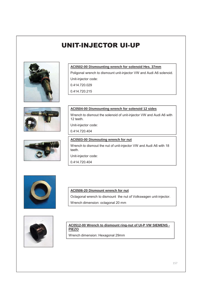





#### **AC0502-00 Dismounting wrench for solenoid Hes. 37mm**

Poligonal wrench to dismount unit-injector VW and Audi A6 solenoid. Unit-injector code:

0.414.720.029

0.414.720.215

### **AC0504-00 Dismounting wrench for solenoid 12 sides**

Wrench to dismout the solenoid of unit-injector VW and Audi A6 with 12 teeth.

Unit-injector code:

0.414.720.404

### **AC0503-00 Dismouting wrench for nut** Wrench to dismout the nut of unit-injector VW and Audi A6 with 18 teeth. Unit-injector code:

0.414.720.404



#### **AC0506-20 Dismount wrench for nut**

Octagonal wrench to dismount the nut of Volkswagen unit-injector.

Wrench dimension: octagonal 20 mm



#### **AC0512-00 Wrench to dismount ring-nut of UI-P VW SIEMENS - PIEZO**

Wrench dimension: Hexagonal 29mm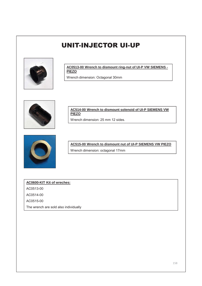

**AC0513-00 Wrench to dismount ring-nut of UI-P VW SIEMENS - PIEZO**

Wrench dimension: Octagonal 30mm



**AC514-00 Wrench to dismount solenoid of UI-P SIEMENS VW PIEZO**

Wrench dimension: 25 mm 12 sides.



**AC515-00 Wrench to dismount nut of UI-P SIEMENS VW PIEZO** Wrench dimension: octagonal 17mm

**AC0600-KIT Kit of wreches:**

AC0513-00

AC0514-00

AC0515-00

The wrench are sold also individually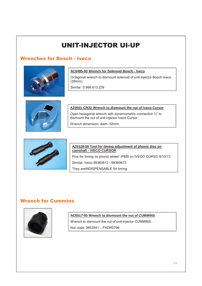### Wrenches for Bosch - Iveco



#### **AC0495-00 Wrench for Solenoid Bosch - Iveco**

Octagonal wrench to dismount solenoid of unit-injector Bosch-Iveco (38mm).

Similar: 0.986.613.239



#### **AZ0501-CR32 Wrench to dismount the nut of Iveco Cursor**

Open hexagonal wrench with dynamometric connection ½" to dismount the nut of unit-injector Iveco Cursor

Wrench dimension: diam. 32mm



#### **AZ0128-50 Tool for timing adjustment of phonic disc on camshaft - IVECO CURSOR**

Pins for timing on phonic wheel /PMS on IVECO CURSO 8/10/13

Similar: Iveco 99360612 - 99360613

They areINDISPENSABLE for timing

### **Wrench for Cummins**



#### **AC0517-00 Wrench to dismount the nut of CUMMINS**

Wrench to dismount the nut of unit-injector CUMMINS Nut code: 3652541 – PXDR0796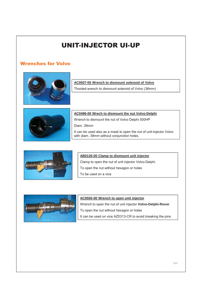### **Wrenches for Volvo**



#### **AC0507-00 Wrench to dismount solenoid of Volvo**

Thooted wrench to dismount solenoid of Volvo (36mm)



#### **AC0496-00 Wrech to dismount the nut Volvo-Delphi**

Wrench to dismount the nut of Volvo Delphi 500HP

Diam: 39mm

It can be used also as a mask to open the nut of unit-injector Volvo with diam. 39mm without conjunction holes.



#### **AB0130-00 Clamp to dismount unit injector**

Clamp to open the nut of unit injector Volvo-Delphi To open the nut without hexagon or holes To be used on a vice



#### **AC0550-00 Wrench to open unit injector**

Wrench to open the nut of unit injector **Volvo-Delphi-Rover** To open the nut without hexagon or holes It can be used on vice AZ0313-CR to avoid breaking the pins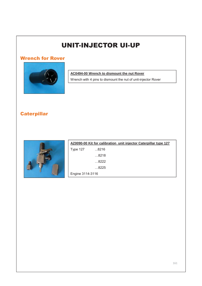### **Wrench for Rover**



### **AC0494-00 Wrench to dismount the nut Rover**

Wrench with 4 pins to dismount the nut of unit-injector Rover

### Caterpillar



|                  |               | AZ0090-00 Kit for calibration unit injector Caterpillar type 127 |  |  |
|------------------|---------------|------------------------------------------------------------------|--|--|
| <b>Type 127</b>  | 8216          |                                                                  |  |  |
|                  | 8218          |                                                                  |  |  |
|                  | 8222          |                                                                  |  |  |
|                  | $\ldots$ 8225 |                                                                  |  |  |
| Engine 3114-3116 |               |                                                                  |  |  |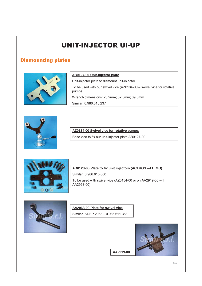### **Dismounting plates**



#### **AB0127-00 Unit-injector plate**

Unit-injector plate to dismount unit-injector.

To be used with our swivel vice (AZ0134-00 – swivel vice for rotative pumps)

Wrench dimensions: 28.2mm; 32.5mm; 39.5mm

Similar: 0.986.613.237



#### **AZ0134-00 Swivel vice for rotative pumps**

Base vice to fix our unit-injector plate AB0127-00



#### **AB0128-00 Plate to fix unit injectors (ACTROS –ATEGO)**

Similar: 0.986.613.000 To be used with swivel vice (AZ0134-00 or on AA2919-00 with AA2963-00)



### **AA2963-00 Plate for swivel vice**  Similar: KDEP 2963 – 0.986.611.358



**AA2919-00**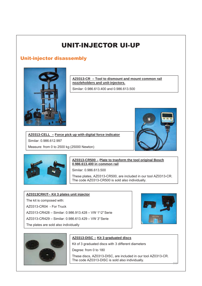### Unit-injector disassembly



**AZ0313-CR – Tool to dismount and mount common rail nozzleholders and unit-injectors.**

Similar: 0.986.613.400 and 0.986.613.500





Similar: 0.986.612.997

### **AZ0313-CR500 – Plate to trasform the tool original Bosch 0.986.613.400 in common rail**

Similar: 0.986.613.500

These plates, AZ0313-CR500, are included in our tool AZ0313-CR. The code AZ0313-CR500 is sold also individually.

#### **AZ0313CRKIT– Kit 3 plates unit injector**

Measure: from 0 to 2500 kg (25000 Newton)

The kit is composed with:

AZ0313-CR04 - For Truck

AZ0313-CR428 – Similar: 0.986.913.428 – VW 1°-2°Serie

**AZ0313-CELL – Force pick up with digital force indicator**

AZ0313-CR429 – Similar: 0.986.613.429 – VW 3°Serie

The plates are sold also individually





### **AZ0313-DISC – Kit 3 graduated discs**

Kit of 3 graduated discs with 3 different diameters

Degree: from 0 to 180

These discs, AZ0313-DISC, are included in our tool AZ0313-CR. The code AZ0313-DISC is sold also individually.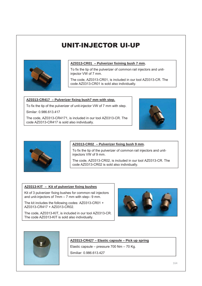

#### **AZ0313-CR01 – Pulverizer fixining bush 7 mm.**

To fix the tip of the pulverizer of common rail injectors and unitinjector VW of 7 mm.

The code, AZ0313-CR01, is included in our tool AZ0313-CR. The code AZ0313-CR01 is sold also individually.

#### **AZ0313-CR417 – Pulverizer fixing bush7 mm with step.**

To fix the tip of the pulverizer of unit-injector VW of 7 mm with step.

Similar: 0.986.613.417

The code, AZ0313-CR4171, is included in our tool AZ0313-CR. The code AZ0313-CR417 is sold also individually.





#### **AZ0313-CR02 – Pulverizer fixing bush 9 mm.**

To fix the tip of the pulverizer of common rail injectors and unitinjectors VW of 9 mm.

The code, AZ0313-CR02, is included in our tool AZ0313-CR. The code AZ0313-CR02 is sold also individually.

#### **AZ0313-KIT – Kit of pulverizer fixing bushes**

Kit of 3 pulverizer fixing bushes for common rail injectors and unit-injectors of 7mm – 7 mm with step– 9 mm.

The kit includes the following codes: AZ0313-CR01 + AZ0313-CR417 + AZ0313-CR02.

The code, AZ0313-KIT, is included in our tool AZ0313-CR. The code AZ0313-KIT is sold also individually.





#### **AZ0313-CR427 – Elastic capsule – Pick up spring**

Elastic capsule – pressure 700 Nm – 70 Kg.

Similiar: 0.986.613.427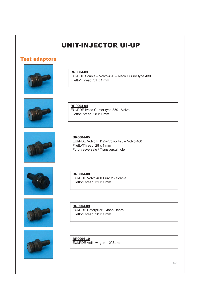### **Test adaptors**













**BR0004-03**

EUI/PDE Scania – Volvo 420 – Iveco Cursor type 430 Filetto/Thread: 31 x 1 mm

**BR0004-04** EUI/PDE Iveco Cursor type 350 - Volvo Filetto/Thread: 28 x 1 mm

**BR0004-05** EUI/PDE Volvo FH12 – Volvo 420 – Volvo 460 Filetto/Thread: 28 x 1 mm Foro trasversale / Transversal hole

**BR0004-08** EUI/PDE Volvo 460 Euro 2 - Scania Filetto/Thread: 31 x 1 mm

**BR0004-09** EUI/PDE Caterpillar – John Deere Filetto/Thread: 28 x 1 mm

**BR0004-10** EUI/PDE Volkswagen – 2°Serie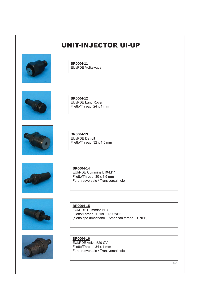

**BR0004-11** EUI/PDE Volkswagen



**BR0004-12** EUI/PDE Land Rover Filetto/Thread: 24 x 1 mm

Filetto/Thread: 32 x 1.5 mm

**BR0004-13** EUI/PDE Detroit





**BR0004-14** EUI/PDE Cummins L10-M11 Filetto/Thread: 30 x 1.5 mm Foro trasversale / Transversal hole





**BR0004-15** EUI/PDE Cummins N14 Filetto/Thread: 1" 1/8 – 18 UNEF (filetto tipo americano – American thread – UNEF)

**BR0004-16** EUI/PDE Volvo 520 CV Filetto/Thread: 34 x 1 mm Foro trasversale / Transversal hole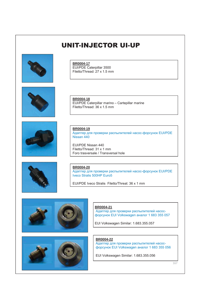

**BR0004-17** EUI/PDE Caterpillar 3500 Filetto/Thread: 27 x 1.5 mm





EUI/PDE Caterpillar marino – Cartepillar marine Filetto/Thread: 36 x 1.5 mm

**BR0004-19**

**BR0004-18**

Адаптер для проверки распылителей насос-форсунок EUI/PDE Nissan 440

EUI/PDE Nissan 440 Filetto/Thread: 31 x 1 mm Foro trasversale / Transversal hole



**BR0004-20**

Адаптер для проверки распылителей насос-форсунок EUI/PDE Iveco Stralis 500HP Euro5

EUI/PDE Iveco Stralis Filetto/Threat: 36 x 1 mm





**BR0004-21** Адаптер для проверки распылителей насосфорсунок EUI Volkswagen аналог 1 683 355 057

EUI Volkswagen Similar: 1.683.355.057

**BR0004-22**

Адаптер для проверки распылителей насосфорсунок EUI Volkswagen аналог 1 683 355 056

EUI Volkswagen Similar: 1.683.355.056

167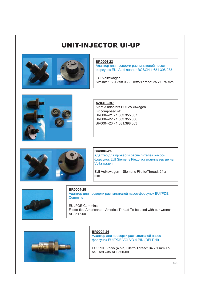

#### **BR0004-23**

Адаптер для проверки распылителей насосфорсунок EUI Audi аналог BOSCH 1 681 398 033

EUI Volkswagen Similar: 1.681.398.033 Filetto/Thread: 25 x 0.75 mm



**AZ0313-BR** Kit of 3 adaptors EUI Volkswagen Kit composed of:

BR0004-21 - 1.683.355.057 BR0004-22 - 1.683.355.056 BR0004-23 - 1.681.398.033



#### **BR0004-24**

Адаптер для проверки распылителей насосфорсунок EUI Siemens Piezo устанавливаемые на Volkswagen

EUI Volkswagen – Siemens Filetto/Thread: 24 x 1 mm



**BR0004-25**

Адаптер для проверки распылителей насос-форсунок EUI/PDE **Cummins** 

EUI/PDE Cummins Filetto tipo Americano – America Thread To be used with our wrench AC0517-00



#### **BR0004-26**

Адаптер для проверки распылителей насосфорсунок EUI/PDE VOLVO 4 PIN (DELPHI)

EUI/PDE Volvo (4 pin) Filetto/Thread: 34 x 1 mm To be used with AC0550-00